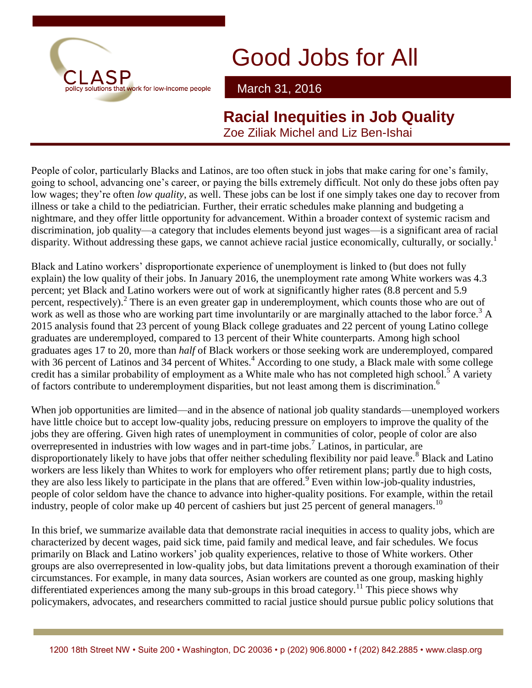

March 31, 2016

**Racial Inequities in Job Quality** Zoe Ziliak Michel and Liz Ben-Ishai

People of color, particularly Blacks and Latinos, are too often stuck in jobs that make caring for one's family, going to school, advancing one's career, or paying the bills extremely difficult. Not only do these jobs often pay low wages; they're often *low quality*, as well. These jobs can be lost if one simply takes one day to recover from illness or take a child to the pediatrician. Further, their erratic schedules make planning and budgeting a nightmare, and they offer little opportunity for advancement. Within a broader context of systemic racism and discrimination, job quality—a category that includes elements beyond just wages—is a significant area of racial disparity. Without addressing these gaps, we cannot achieve racial justice economically, culturally, or socially.<sup>1</sup>

Black and Latino workers' disproportionate experience of unemployment is linked to (but does not fully explain) the low quality of their jobs. In January 2016, the unemployment rate among White workers was 4.3 percent; yet Black and Latino workers were out of work at significantly higher rates (8.8 percent and 5.9 percent, respectively).<sup>2</sup> There is an even greater gap in underemployment, which counts those who are out of work as well as those who are working part time involuntarily or are marginally attached to the labor force.<sup>3</sup> A 2015 analysis found that 23 percent of young Black college graduates and 22 percent of young Latino college graduates are underemployed, compared to 13 percent of their White counterparts. Among high school graduates ages 17 to 20, more than *half* of Black workers or those seeking work are underemployed, compared with 36 percent of Latinos and 34 percent of Whites.<sup>4</sup> According to one study, a Black male with some college credit has a similar probability of employment as a White male who has not completed high school.<sup>5</sup> A variety of factors contribute to underemployment disparities, but not least among them is discrimination.<sup>6</sup>

When job opportunities are limited—and in the absence of national job quality standards—unemployed workers have little choice but to accept low-quality jobs, reducing pressure on employers to improve the quality of the jobs they are offering. Given high rates of unemployment in communities of color, people of color are also overrepresented in industries with low wages and in part-time jobs.<sup>7</sup> Latinos, in particular, are disproportionately likely to have jobs that offer neither scheduling flexibility nor paid leave.<sup>8</sup> Black and Latino workers are less likely than Whites to work for employers who offer retirement plans; partly due to high costs, they are also less likely to participate in the plans that are offered.<sup>9</sup> Even within low-job-quality industries, people of color seldom have the chance to advance into higher-quality positions. For example, within the retail industry, people of color make up 40 percent of cashiers but just 25 percent of general managers.<sup>10</sup>

In this brief, we summarize available data that demonstrate racial inequities in access to quality jobs, which are characterized by decent wages, paid sick time, paid family and medical leave, and fair schedules. We focus primarily on Black and Latino workers' job quality experiences, relative to those of White workers. Other groups are also overrepresented in low-quality jobs, but data limitations prevent a thorough examination of their circumstances. For example, in many data sources, Asian workers are counted as one group, masking highly differentiated experiences among the many sub-groups in this broad category.<sup>11</sup> This piece shows why policymakers, advocates, and researchers committed to racial justice should pursue public policy solutions that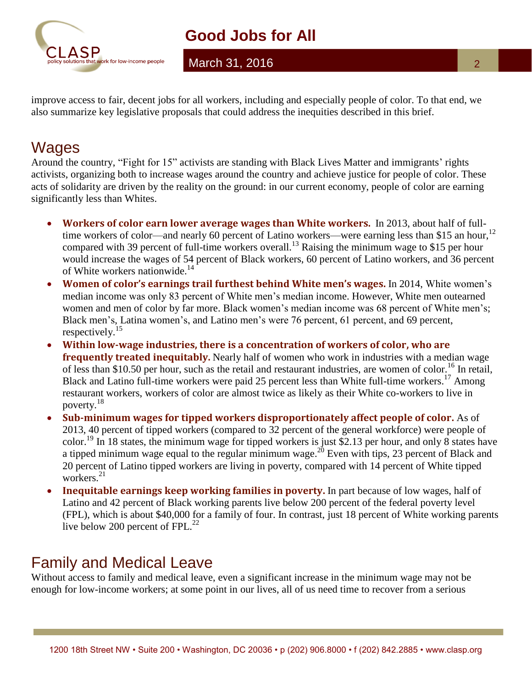

March 31, 2016

improve access to fair, decent jobs for all workers, including and especially people of color. To that end, we also summarize key legislative proposals that could address the inequities described in this brief.

# Wages

Around the country, "Fight for 15" activists are standing with Black Lives Matter and immigrants' rights activists, organizing both to increase wages around the country and achieve justice for people of color. These acts of solidarity are driven by the reality on the ground: in our current economy, people of color are earning significantly less than Whites.

- **Workers of color earn lower average wages than White workers.** In 2013, about half of fulltime workers of color—and nearly 60 percent of Latino workers—were earning less than \$15 an hour,<sup>12</sup> compared with 39 percent of full-time workers overall.<sup>13</sup> Raising the minimum wage to \$15 per hour would increase the wages of 54 percent of Black workers, 60 percent of Latino workers, and 36 percent of White workers nationwide.<sup>14</sup>
- **Women of color's earnings trail furthest behind White men's wages.** In 2014, White women's median income was only 83 percent of White men's median income. However, White men outearned women and men of color by far more. Black women's median income was 68 percent of White men's; Black men's, Latina women's, and Latino men's were 76 percent, 61 percent, and 69 percent, respectively.<sup>15</sup>
- **Within low-wage industries, there is a concentration of workers of color, who are frequently treated inequitably.** Nearly half of women who work in industries with a median wage of less than \$10.50 per hour, such as the retail and restaurant industries, are women of color.<sup>16</sup> In retail, Black and Latino full-time workers were paid 25 percent less than White full-time workers.<sup>17</sup> Among restaurant workers, workers of color are almost twice as likely as their White co-workers to live in poverty. 18
- **Sub-minimum wages for tipped workers disproportionately affect people of color.** As of 2013, 40 percent of tipped workers (compared to 32 percent of the general workforce) were people of color.<sup>19</sup> In 18 states, the minimum wage for tipped workers is just \$2.13 per hour, and only 8 states have a tipped minimum wage equal to the regular minimum wage.<sup>20</sup> Even with tips, 23 percent of Black and 20 percent of Latino tipped workers are living in poverty, compared with 14 percent of White tipped workers.<sup>21</sup>
- **Inequitable earnings keep working families in poverty.** In part because of low wages, half of Latino and 42 percent of Black working parents live below 200 percent of the federal poverty level (FPL), which is about \$40,000 for a family of four. In contrast, just 18 percent of White working parents live below 200 percent of FPL.<sup>22</sup>

# Family and Medical Leave

Without access to family and medical leave, even a significant increase in the minimum wage may not be enough for low-income workers; at some point in our lives, all of us need time to recover from a serious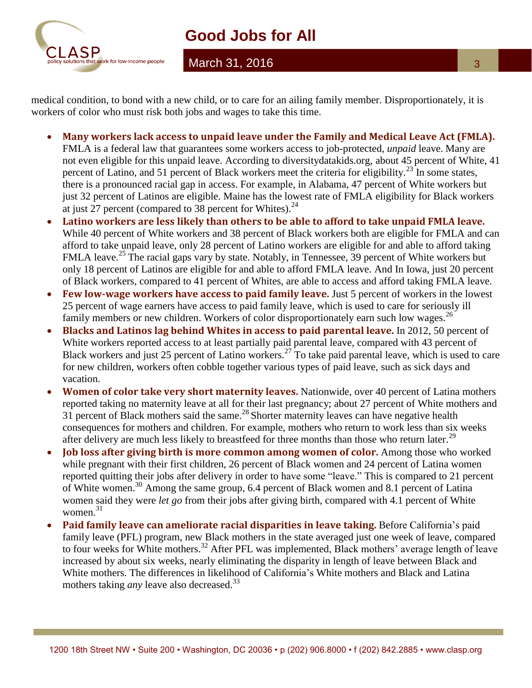

March 31, 2016

medical condition, to bond with a new child, or to care for an ailing family member. Disproportionately, it is workers of color who must risk both jobs and wages to take this time.

- **Many workers lack access to unpaid leave under the Family and Medical Leave Act (FMLA).**  FMLA is a federal law that guarantees some workers access to job-protected, *unpaid* leave. Many are not even eligible for this unpaid leave. According to diversitydatakids.org, about 45 percent of White, 41 percent of Latino, and 51 percent of Black workers meet the criteria for eligibility.<sup>23</sup> In some states, there is a pronounced racial gap in access. For example, in Alabama, 47 percent of White workers but just 32 percent of Latinos are eligible. Maine has the lowest rate of FMLA eligibility for Black workers at just 27 percent (compared to 38 percent for Whites). $^{24}$
- **Latino workers are less likely than others to be able to afford to take unpaid FMLA leave.**  While 40 percent of White workers and 38 percent of Black workers both are eligible for FMLA and can afford to take unpaid leave, only 28 percent of Latino workers are eligible for and able to afford taking FMLA leave.<sup>25</sup> The racial gaps vary by state. Notably, in Tennessee, 39 percent of White workers but only 18 percent of Latinos are eligible for and able to afford FMLA leave. And In Iowa, just 20 percent of Black workers, compared to 41 percent of Whites, are able to access and afford taking FMLA leave.
- **Few low-wage workers have access to paid family leave.** Just 5 percent of workers in the lowest 25 percent of wage earners have access to paid family leave, which is used to care for seriously ill family members or new children. Workers of color disproportionately earn such low wages.<sup>26</sup>
- **Blacks and Latinos lag behind Whites in access to paid parental leave.** In 2012, 50 percent of White workers reported access to at least partially paid parental leave, compared with 43 percent of Black workers and just 25 percent of Latino workers.<sup>27</sup> To take paid parental leave, which is used to care for new children, workers often cobble together various types of paid leave, such as sick days and vacation.
- **Women of color take very short maternity leaves.** Nationwide, over 40 percent of Latina mothers reported taking no maternity leave at all for their last pregnancy; about 27 percent of White mothers and  $31$  percent of Black mothers said the same.<sup>28</sup> Shorter maternity leaves can have negative health consequences for mothers and children. For example, mothers who return to work less than six weeks after delivery are much less likely to breastfeed for three months than those who return later.<sup>29</sup>
- **Job loss after giving birth is more common among women of color.** Among those who worked while pregnant with their first children, 26 percent of Black women and 24 percent of Latina women reported quitting their jobs after delivery in order to have some "leave." This is compared to 21 percent of White women.<sup>30</sup> Among the same group, 6.4 percent of Black women and 8.1 percent of Latina women said they were *let go* from their jobs after giving birth, compared with 4.1 percent of White women. 31
- **Paid family leave can ameliorate racial disparities in leave taking.** Before California's paid family leave (PFL) program, new Black mothers in the state averaged just one week of leave, compared to four weeks for White mothers.<sup>32</sup> After PFL was implemented, Black mothers' average length of leave increased by about six weeks, nearly eliminating the disparity in length of leave between Black and White mothers. The differences in likelihood of California's White mothers and Black and Latina mothers taking *any* leave also decreased.<sup>33</sup>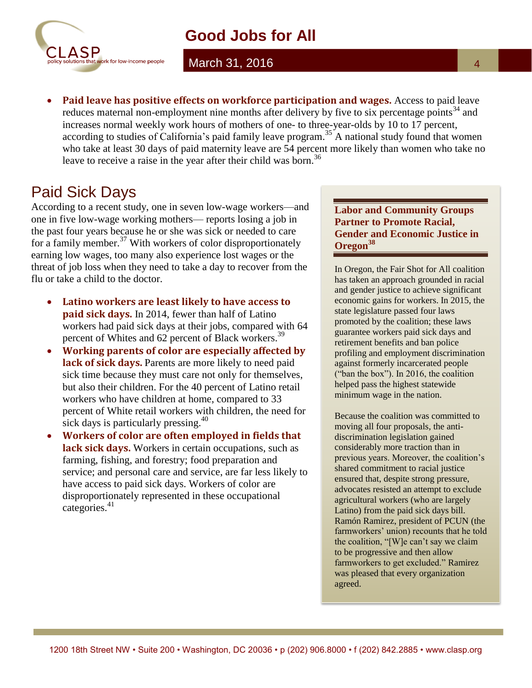

March 31, 2016

 **Paid leave has positive effects on workforce participation and wages.** Access to paid leave reduces maternal non-employment nine months after delivery by five to six percentage points<sup>34</sup> and increases normal weekly work hours of mothers of one- to three-year-olds by 10 to 17 percent, according to studies of California's paid family leave program.<sup>35</sup> A national study found that women who take at least 30 days of paid maternity leave are 54 percent more likely than women who take no leave to receive a raise in the year after their child was born.<sup>36</sup>

### Paid Sick Days

According to a recent study, one in seven low-wage workers—and one in five low-wage working mothers— reports losing a job in the past four years because he or she was sick or needed to care for a family member. $37$  With workers of color disproportionately earning low wages, too many also experience lost wages or the threat of job loss when they need to take a day to recover from the flu or take a child to the doctor.

- **Latino workers are least likely to have access to paid sick days.** In 2014, fewer than half of Latino workers had paid sick days at their jobs, compared with 64 percent of Whites and 62 percent of Black workers.<sup>39</sup>
- **Working parents of color are especially affected by**  lack of sick days. Parents are more likely to need paid sick time because they must care not only for themselves, but also their children. For the 40 percent of Latino retail workers who have children at home, compared to 33 percent of White retail workers with children, the need for sick days is particularly pressing.<sup>40</sup>
- **Workers of color are often employed in fields that lack sick days.** Workers in certain occupations, such as farming, fishing, and forestry; food preparation and service; and personal care and service, are far less likely to have access to paid sick days. Workers of color are disproportionately represented in these occupational categories. 41

#### **Labor and Community Groups Partner to Promote Racial, Gender and Economic Justice in Oregon<sup>38</sup>**

In Oregon, the Fair Shot for All coalition has taken an approach grounded in racial and gender justice to achieve significant economic gains for workers. In 2015, the state legislature passed four laws promoted by the coalition; these laws guarantee workers paid sick days and retirement benefits and ban police profiling and employment discrimination against formerly incarcerated people ("ban the box"). In 2016, the coalition helped pass the highest statewide minimum wage in the nation.

Because the coalition was committed to moving all four proposals, the antidiscrimination legislation gained considerably more traction than in previous years. Moreover, the coalition's shared commitment to racial justice ensured that, despite strong pressure, advocates resisted an attempt to exclude agricultural workers (who are largely Latino) from the paid sick days bill. Ramón Ramirez, president of PCUN (the farmworkers' union) recounts that he told the coalition, "[W]e can't say we claim to be progressive and then allow farmworkers to get excluded." Ramirez was pleased that every organization agreed.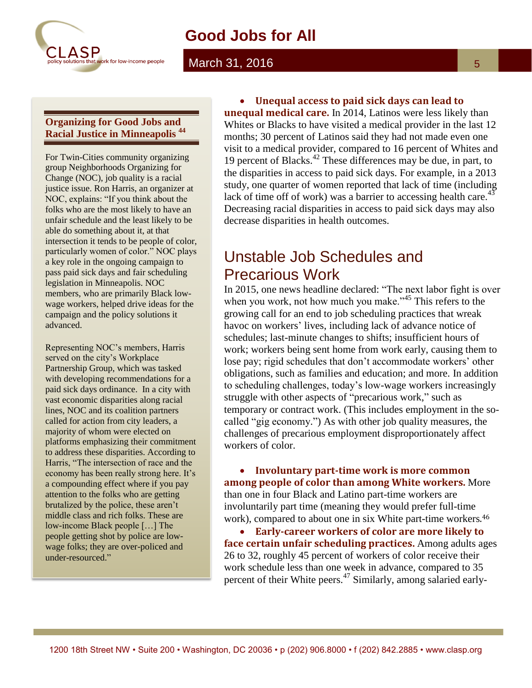

#### March 31, 2016

#### **Organizing for Good Jobs and Racial Justice in Minneapolis <sup>44</sup>**

For Twin-Cities community organizing group Neighborhoods Organizing for Change (NOC), job quality is a racial justice issue. Ron Harris, an organizer at NOC, explains: "If you think about the folks who are the most likely to have an unfair schedule and the least likely to be able do something about it, at that intersection it tends to be people of color, particularly women of color." NOC plays a key role in the ongoing campaign to pass paid sick days and fair scheduling legislation in Minneapolis. NOC members, who are primarily Black lowwage workers, helped drive ideas for the campaign and the policy solutions it advanced.

Representing NOC's members, Harris served on the city's Workplace Partnership Group, which was tasked with developing recommendations for a paid sick days ordinance. In a city with vast economic disparities along racial lines, NOC and its coalition partners called for action from city leaders, a majority of whom were elected on platforms emphasizing their commitment to address these disparities. According to Harris, "The intersection of race and the economy has been really strong here. It's a compounding effect where if you pay attention to the folks who are getting brutalized by the police, these aren't middle class and rich folks. These are low-income Black people […] The people getting shot by police are lowwage folks; they are over-policed and under-resourced."

 **Unequal access to paid sick days can lead to unequal medical care.** In 2014, Latinos were less likely than Whites or Blacks to have visited a medical provider in the last 12 months; 30 percent of Latinos said they had not made even one visit to a medical provider, compared to 16 percent of Whites and 19 percent of Blacks. <sup>42</sup> These differences may be due, in part, to the disparities in access to paid sick days. For example, in a 2013 study, one quarter of women reported that lack of time (including lack of time off of work) was a barrier to accessing health care.<sup>43</sup> Decreasing racial disparities in access to paid sick days may also decrease disparities in health outcomes.

# Unstable Job Schedules and Precarious Work

In 2015, one news headline declared: "The next labor fight is over when you work, not how much you make.<sup>345</sup> This refers to the growing call for an end to job scheduling practices that wreak havoc on workers' lives, including lack of advance notice of schedules; last-minute changes to shifts; insufficient hours of work; workers being sent home from work early, causing them to lose pay; rigid schedules that don't accommodate workers' other obligations, such as families and education; and more. In addition to scheduling challenges, today's low-wage workers increasingly struggle with other aspects of "precarious work," such as temporary or contract work. (This includes employment in the socalled "gig economy.") As with other job quality measures, the challenges of precarious employment disproportionately affect workers of color.

 **Involuntary part-time work is more common among people of color than among White workers.** More than one in four Black and Latino part-time workers are involuntarily part time (meaning they would prefer full-time work), compared to about one in six White part-time workers. 46

 **Early-career workers of color are more likely to face certain unfair scheduling practices.** Among adults ages 26 to 32, roughly 45 percent of workers of color receive their work schedule less than one week in advance, compared to 35 percent of their White peers.<sup>47</sup> Similarly, among salaried early-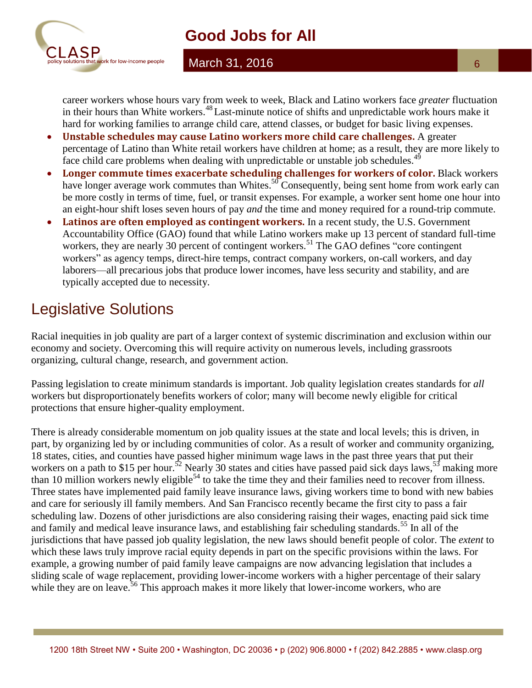

#### March 31, 2016

career workers whose hours vary from week to week, Black and Latino workers face *greater* fluctuation in their hours than White workers. <sup>48</sup>Last-minute notice of shifts and unpredictable work hours make it hard for working families to arrange child care, attend classes, or budget for basic living expenses.

- **Unstable schedules may cause Latino workers more child care challenges.** A greater percentage of Latino than White retail workers have children at home; as a result, they are more likely to face child care problems when dealing with unpredictable or unstable job schedules.<sup>49</sup>
- **Longer commute times exacerbate scheduling challenges for workers of color.** Black workers have longer average work commutes than Whites.<sup>50</sup> Consequently, being sent home from work early can be more costly in terms of time, fuel, or transit expenses. For example, a worker sent home one hour into an eight-hour shift loses seven hours of pay *and* the time and money required for a round-trip commute.
- **Latinos are often employed as contingent workers.** In a recent study, the U.S. Government Accountability Office (GAO) found that while Latino workers make up 13 percent of standard full-time workers, they are nearly 30 percent of contingent workers.<sup>51</sup> The GAO defines "core contingent workers" as agency temps, direct-hire temps, contract company workers, on-call workers, and day laborers—all precarious jobs that produce lower incomes, have less security and stability, and are typically accepted due to necessity.

# Legislative Solutions

Racial inequities in job quality are part of a larger context of systemic discrimination and exclusion within our economy and society. Overcoming this will require activity on numerous levels, including grassroots organizing, cultural change, research, and government action.

Passing legislation to create minimum standards is important. Job quality legislation creates standards for *all*  workers but disproportionately benefits workers of color; many will become newly eligible for critical protections that ensure higher-quality employment.

There is already considerable momentum on job quality issues at the state and local levels; this is driven, in part, by organizing led by or including communities of color. As a result of worker and community organizing, 18 states, cities, and counties have passed higher minimum wage laws in the past three years that put their workers on a path to \$15 per hour.<sup>52</sup> Nearly 30 states and cities have passed paid sick days laws,<sup>53</sup> making more than 10 million workers newly eligible<sup>54</sup> to take the time they and their families need to recover from illness. Three states have implemented paid family leave insurance laws, giving workers time to bond with new babies and care for seriously ill family members. And San Francisco recently became the first city to pass a fair scheduling law. Dozens of other jurisdictions are also considering raising their wages, enacting paid sick time and family and medical leave insurance laws, and establishing fair scheduling standards.<sup>55</sup> In all of the jurisdictions that have passed job quality legislation, the new laws should benefit people of color. The *extent* to which these laws truly improve racial equity depends in part on the specific provisions within the laws. For example, a growing number of paid family leave campaigns are now advancing legislation that includes a sliding scale of wage replacement, providing lower-income workers with a higher percentage of their salary while they are on leave.<sup>56</sup> This approach makes it more likely that lower-income workers, who are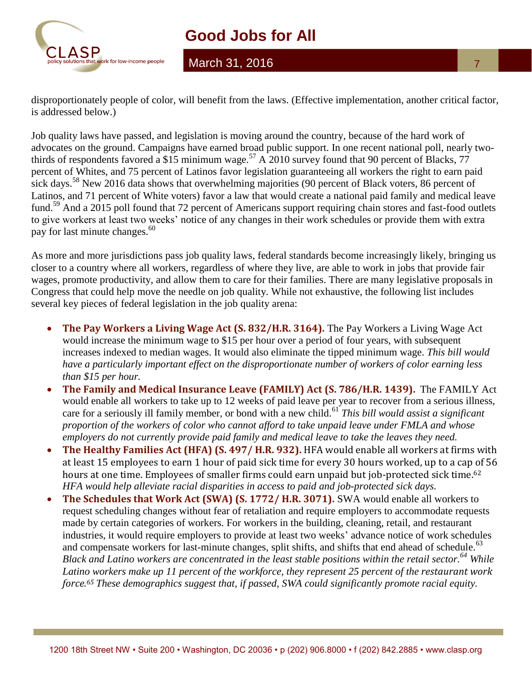

March 31, 2016

disproportionately people of color, will benefit from the laws. (Effective implementation, another critical factor, is addressed below.)

Job quality laws have passed, and legislation is moving around the country, because of the hard work of advocates on the ground. Campaigns have earned broad public support. In one recent national poll, nearly twothirds of respondents favored a \$15 minimum wage.<sup>57</sup> A 2010 survey found that 90 percent of Blacks, 77 percent of Whites, and 75 percent of Latinos favor legislation guaranteeing all workers the right to earn paid sick days.<sup>58</sup> New 2016 data shows that overwhelming majorities (90 percent of Black voters, 86 percent of Latinos, and 71 percent of White voters) favor a law that would create a national paid family and medical leave fund.<sup>59</sup> And a 2015 poll found that 72 percent of Americans support requiring chain stores and fast-food outlets to give workers at least two weeks' notice of any changes in their work schedules or provide them with extra pay for last minute changes.<sup>60</sup>

As more and more jurisdictions pass job quality laws, federal standards become increasingly likely, bringing us closer to a country where all workers, regardless of where they live, are able to work in jobs that provide fair wages, promote productivity, and allow them to care for their families. There are many legislative proposals in Congress that could help move the needle on job quality. While not exhaustive, the following list includes several key pieces of federal legislation in the job quality arena:

- **The Pay Workers a Living Wage Act (S. 832/H.R. 3164).** The Pay Workers a Living Wage Act would increase the minimum wage to \$15 per hour over a period of four years, with subsequent increases indexed to median wages. It would also eliminate the tipped minimum wage. *This bill would have a particularly important effect on the disproportionate number of workers of color earning less than \$15 per hour.*
- **The Family and Medical Insurance Leave (FAMILY) Act (S. 786/H.R. 1439).** The FAMILY Act would enable all workers to take up to 12 weeks of paid leave per year to recover from a serious illness, care for a seriously ill family member, or bond with a new child.<sup>61</sup> *This bill would assist a significant proportion of the workers of color who cannot afford to take unpaid leave under FMLA and whose employers do not currently provide paid family and medical leave to take the leaves they need.*
- **The Healthy Families Act (HFA) (S. 497/ H.R. 932).** HFA would enable all workers at firms with at least 15 employees to earn 1 hour of paid sick time for every 30 hours worked, up to a cap of 56 hours at one time. Employees of smaller firms could earn unpaid but job-protected sick time.<sup>62</sup> *HFA would help alleviate racial disparities in access to paid and job-protected sick days.*
- **The Schedules that Work Act (SWA) (S. 1772/ H.R. 3071).** SWA would enable all workers to request scheduling changes without fear of retaliation and require employers to accommodate requests made by certain categories of workers. For workers in the building, cleaning, retail, and restaurant industries, it would require employers to provide at least two weeks' advance notice of work schedules and compensate workers for last-minute changes, split shifts, and shifts that end ahead of schedule.<sup>63</sup> *Black and Latino workers are concentrated in the least stable positions within the retail sector.*<sup>64</sup> *While Latino workers make up 11 percent of the workforce, they represent 25 percent of the restaurant work force.<sup>65</sup> These demographics suggest that, if passed, SWA could significantly promote racial equity.*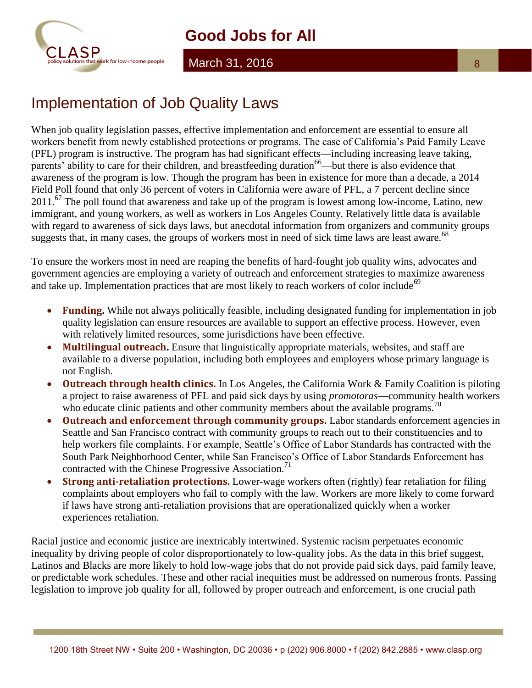

#### March 31, 2016

When job quality legislation passes, effective implementation and enforcement are essential to ensure all workers benefit from newly established protections or programs. The case of California's Paid Family Leave (PFL) program is instructive. The program has had significant effects—including increasing leave taking, parents' ability to care for their children, and breastfeeding duration<sup>66</sup>—but there is also evidence that awareness of the program is low. Though the program has been in existence for more than a decade, a 2014 Field Poll found that only 36 percent of voters in California were aware of PFL, a 7 percent decline since  $2011$ .<sup>67</sup> The poll found that awareness and take up of the program is lowest among low-income, Latino, new immigrant, and young workers, as well as workers in Los Angeles County. Relatively little data is available with regard to awareness of sick days laws, but anecdotal information from organizers and community groups suggests that, in many cases, the groups of workers most in need of sick time laws are least aware.<sup>68</sup>

To ensure the workers most in need are reaping the benefits of hard-fought job quality wins, advocates and government agencies are employing a variety of outreach and enforcement strategies to maximize awareness and take up. Implementation practices that are most likely to reach workers of color include<sup>69</sup>

- **Funding.** While not always politically feasible, including designated funding for implementation in job quality legislation can ensure resources are available to support an effective process. However, even with relatively limited resources, some jurisdictions have been effective.
- Multilingual outreach. Ensure that linguistically appropriate materials, websites, and staff are available to a diverse population, including both employees and employers whose primary language is not English.
- **Outreach through health clinics.** In Los Angeles, the California Work & Family Coalition is piloting a project to raise awareness of PFL and paid sick days by using *promotoras*—community health workers who educate clinic patients and other community members about the available programs.<sup>70</sup>
- **Outreach and enforcement through community groups.** Labor standards enforcement agencies in Seattle and San Francisco contract with community groups to reach out to their constituencies and to help workers file complaints. For example, Seattle's Office of Labor Standards has contracted with the South Park Neighborhood Center, while San Francisco's Office of Labor Standards Enforcement has contracted with the Chinese Progressive Association.<sup>71</sup>
- **Strong anti-retaliation protections.** Lower-wage workers often (rightly) fear retaliation for filing complaints about employers who fail to comply with the law. Workers are more likely to come forward if laws have strong anti-retaliation provisions that are operationalized quickly when a worker experiences retaliation.

Racial justice and economic justice are inextricably intertwined. Systemic racism perpetuates economic inequality by driving people of color disproportionately to low-quality jobs. As the data in this brief suggest, Latinos and Blacks are more likely to hold low-wage jobs that do not provide paid sick days, paid family leave, or predictable work schedules. These and other racial inequities must be addressed on numerous fronts. Passing legislation to improve job quality for all, followed by proper outreach and enforcement, is one crucial path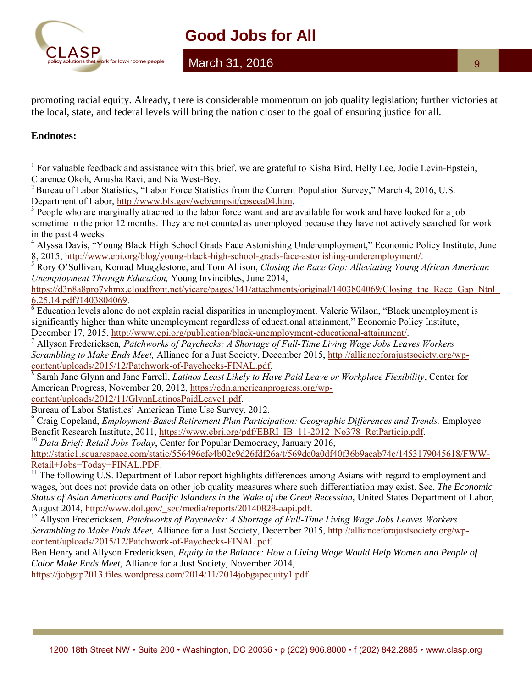

### March 31, 2016

promoting racial equity. Already, there is considerable momentum on job quality legislation; further victories at the local, state, and federal levels will bring the nation closer to the goal of ensuring justice for all.

#### **Endnotes:**

<sup>1</sup> For valuable feedback and assistance with this brief, we are grateful to Kisha Bird, Helly Lee, Jodie Levin-Epstein, Clarence Okoh, Anusha Ravi, and Nia West-Bey.

<sup>2</sup> Bureau of Labor Statistics, "Labor Force Statistics from the Current Population Survey," March 4, 2016, U.S. Department of Labor, [http://www.bls.gov/web/empsit/cpseea04.htm.](http://www.bls.gov/web/empsit/cpseea04.htm)

<sup>3</sup> People who are marginally attached to the labor force want and are available for work and have looked for a job sometime in the prior 12 months. They are not counted as unemployed because they have not actively searched for work in the past 4 weeks.

<sup>4</sup> Alyssa Davis, "Young Black High School Grads Face Astonishing Underemployment," Economic Policy Institute, June 8, 2015, [http://www.epi.org/blog/young-black-high-school-grads-face-astonishing-underemployment/.](http://www.epi.org/blog/young-black-high-school-grads-face-astonishing-underemployment/)

<sup>5</sup> Rory O'Sullivan, Konrad Mugglestone, and Tom Allison, *Closing the Race Gap: Alleviating Young African American Unemployment Through Education,* Young Invincibles, June 2014,

https://d3n8a8pro7vhmx.cloudfront.net/yicare/pages/141/attachments/original/1403804069/Closing\_the\_Race\_Gap\_Ntnl [6.25.14.pdf?1403804069.](https://d3n8a8pro7vhmx.cloudfront.net/yicare/pages/141/attachments/original/1403804069/Closing_the_Race_Gap_Ntnl_6.25.14.pdf?1403804069)

<sup>6</sup> Education levels alone do not explain racial disparities in unemployment. Valerie Wilson, "Black unemployment is significantly higher than white unemployment regardless of educational attainment," Economic Policy Institute, December 17, 2015, [http://www.epi.org/publication/black-unemployment-educational-attainment/.](http://www.epi.org/publication/black-unemployment-educational-attainment/)

<sup>7</sup> Allyson Fredericksen*, Patchworks of Paychecks: A Shortage of Full-Time Living Wage Jobs Leaves Workers Scrambling to Make Ends Meet,* Alliance for a Just Society, December 2015, [http://allianceforajustsociety.org/wp](http://allianceforajustsociety.org/wp-content/uploads/2015/12/Patchwork-of-Paychecks-FINAL.pdf)[content/uploads/2015/12/Patchwork-of-Paychecks-FINAL.pdf.](http://allianceforajustsociety.org/wp-content/uploads/2015/12/Patchwork-of-Paychecks-FINAL.pdf)

8 Sarah Jane Glynn and Jane Farrell, *Latinos Least Likely to Have Paid Leave or Workplace Flexibility*, Center for American Progress, November 20, 2012[, https://cdn.americanprogress.org/wp-](https://cdn.americanprogress.org/wp-content/uploads/2012/11/GlynnLatinosPaidLeave1.pdf)

[content/uploads/2012/11/GlynnLatinosPaidLeave1.pdf.](https://cdn.americanprogress.org/wp-content/uploads/2012/11/GlynnLatinosPaidLeave1.pdf)

Bureau of Labor Statistics' American Time Use Survey, 2012.

<sup>9</sup> Craig Copeland, *Employment-Based Retirement Plan Participation: Geographic Differences and Trends, Employee* Benefit Research Institute, 2011, [https://www.ebri.org/pdf/EBRI\\_IB\\_11-2012\\_No378\\_RetParticip.pdf.](https://www.ebri.org/pdf/EBRI_IB_11-2012_No378_RetParticip.pdf)

<sup>10</sup> *Data Brief: Retail Jobs Today*, Center for Popular Democracy, January 2016,

[http://static1.squarespace.com/static/556496efe4b02c9d26fdf26a/t/569dc0a0df40f36b9acab74c/1453179045618/FWW-](http://static1.squarespace.com/static/556496efe4b02c9d26fdf26a/t/569dc0a0df40f36b9acab74c/1453179045618/FWW-Retail+Jobs+Today+FINAL.PDF)[Retail+Jobs+Today+FINAL.PDF.](http://static1.squarespace.com/static/556496efe4b02c9d26fdf26a/t/569dc0a0df40f36b9acab74c/1453179045618/FWW-Retail+Jobs+Today+FINAL.PDF)

<sup>11</sup> The following U.S. Department of Labor report highlights differences among Asians with regard to employment and wages, but does not provide data on other job quality measures where such differentiation may exist. See, *The Economic Status of Asian Americans and Pacific Islanders in the Wake of the Great Recession,* United States Department of Labor, August 2014, [http://www.dol.gov/\\_sec/media/reports/20140828-aapi.pdf.](http://www.dol.gov/_sec/media/reports/20140828-aapi.pdf)

<sup>12</sup> Allyson Fredericksen, Patchworks of Paychecks: A Shortage of Full-Time Living Wage Jobs Leaves Workers *Scrambling to Make Ends Meet,* Alliance for a Just Society, December 2015, [http://allianceforajustsociety.org/wp](http://allianceforajustsociety.org/wp-content/uploads/2015/12/Patchwork-of-Paychecks-FINAL.pdf)[content/uploads/2015/12/Patchwork-of-Paychecks-FINAL.pdf.](http://allianceforajustsociety.org/wp-content/uploads/2015/12/Patchwork-of-Paychecks-FINAL.pdf)

Ben Henry and Allyson Fredericksen, *Equity in the Balance: How a Living Wage Would Help Women and People of Color Make Ends Meet,* Alliance for a Just Society, November 2014,

<https://jobgap2013.files.wordpress.com/2014/11/2014jobgapequity1.pdf>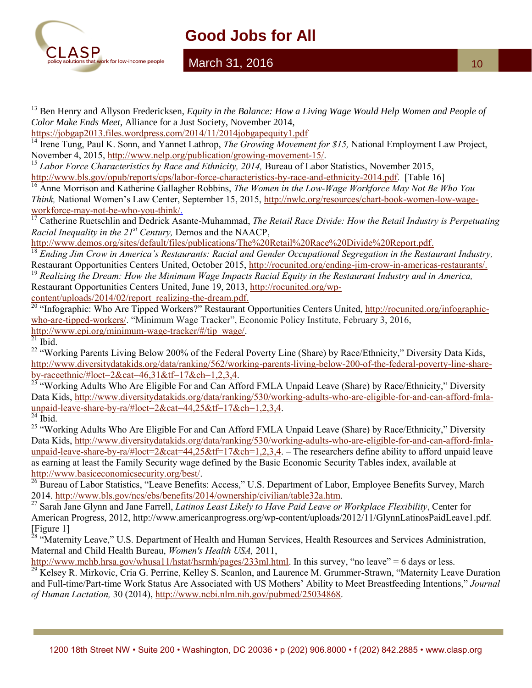

March 31, 2016

<sup>13</sup> Ben Henry and Allyson Fredericksen, *Equity in the Balance: How a Living Wage Would Help Women and People of Color Make Ends Meet,* Alliance for a Just Society, November 2014, <https://jobgap2013.files.wordpress.com/2014/11/2014jobgapequity1.pdf>

<sup>14</sup> Irene Tung, Paul K. Sonn, and Yannet Lathrop, *The Growing Movement for \$15*, National Employment Law Project, November 4, 2015, [http://www.nelp.org/publication/growing-movement-15/.](http://www.nelp.org/publication/growing-movement-15/)

<sup>15</sup> *Labor Force Characteristics by Race and Ethnicity, 2014*, Bureau of Labor Statistics, November 2015, [http://www.bls.gov/opub/reports/cps/labor-force-characteristics-by-race-and-ethnicity-2014.pdf.](http://www.bls.gov/opub/reports/cps/labor-force-characteristics-by-race-and-ethnicity-2014.pdf) [Table 16]

<sup>16</sup> Anne Morrison and Katherine Gallagher Robbins, *The Women in the Low-Wage Workforce May Not Be Who You Think,* National Women's Law Center, September 15, 2015, [http://nwlc.org/resources/chart-book-women-low-wage](http://nwlc.org/resources/chart-book-women-low-wage-workforce-may-not-be-who-you-think/)[workforce-may-not-be-who-you-think/.](http://nwlc.org/resources/chart-book-women-low-wage-workforce-may-not-be-who-you-think/)

<sup>17</sup> Catherine Ruetschlin and Dedrick Asante-Muhammad, *The Retail Race Divide: How the Retail Industry is Perpetuating Racial Inequality in the 21st Century,* Demos and the NAACP,

[http://www.demos.org/sites/default/files/publications/The%20Retail%20Race%20Divide%20Report.pdf.](http://www.demos.org/sites/default/files/publications/The%20Retail%20Race%20Divide%20Report.pdf)

<sup>18</sup> *Ending Jim Crow in America's Restaurants: Racial and Gender Occupational Segregation in the Restaurant Industry,*  Restaurant Opportunities Centers United, October 2015, [http://rocunited.org/ending-jim-crow-in-americas-restaurants/.](http://rocunited.org/ending-jim-crow-in-americas-restaurants/)

<sup>19</sup> *Realizing the Dream: How the Minimum Wage Impacts Racial Equity in the Restaurant Industry and in America,* Restaurant Opportunities Centers United, June 19, 2013, [http://rocunited.org/wp-](http://rocunited.org/wp-content/uploads/2014/02/report_realizing-the-dream.pdf)

[content/uploads/2014/02/report\\_realizing-the-dream.pdf.](http://rocunited.org/wp-content/uploads/2014/02/report_realizing-the-dream.pdf)

<sup>20</sup> "Infographic: Who Are Tipped Workers?" Restaurant Opportunities Centers United, [http://rocunited.org/infographic](http://rocunited.org/infographic-who-are-tipped-workers/)[who-are-tipped-workers/](http://rocunited.org/infographic-who-are-tipped-workers/). "Minimum Wage Tracker", Economic Policy Institute, February 3, 2016, [http://www.epi.org/minimum-wage-tracker/#/tip\\_wage/.](http://www.epi.org/minimum-wage-tracker/#/tip_wage/)

Ibid.

<sup>22</sup> "Working Parents Living Below 200% of the Federal Poverty Line (Share) by Race/Ethnicity," Diversity Data Kids, [http://www.diversitydatakids.org/data/ranking/562/working-parents-living-below-200-of-the-federal-poverty-line-share](http://www.diversitydatakids.org/data/ranking/562/working-parents-living-below-200-of-the-federal-poverty-line-share-by-raceethnic/#loct=2&cat=46,31&tf=17&ch=1,2,3,4)[by-raceethnic/#loct=2&cat=46,31&tf=17&ch=1,2,3,4.](http://www.diversitydatakids.org/data/ranking/562/working-parents-living-below-200-of-the-federal-poverty-line-share-by-raceethnic/#loct=2&cat=46,31&tf=17&ch=1,2,3,4)

 $\frac{23}{23}$  "Working Adults Who Are Eligible For and Can Afford FMLA Unpaid Leave (Share) by Race/Ethnicity," Diversity Data Kids, [http://www.diversitydatakids.org/data/ranking/530/working-adults-who-are-eligible-for-and-can-afford-fmla](http://www.diversitydatakids.org/data/ranking/530/working-adults-who-are-eligible-for-and-can-afford-fmla-unpaid-leave-share-by-ra/#loct=2&cat=44,25&tf=17&ch=1,2,3,4)[unpaid-leave-share-by-ra/#loct=2&cat=44,25&tf=17&ch=1,2,3,4.](http://www.diversitydatakids.org/data/ranking/530/working-adults-who-are-eligible-for-and-can-afford-fmla-unpaid-leave-share-by-ra/#loct=2&cat=44,25&tf=17&ch=1,2,3,4)

 $24$  Ibid.

<sup>25</sup> "Working Adults Who Are Eligible For and Can Afford FMLA Unpaid Leave (Share) by Race/Ethnicity," Diversity Data Kids, [http://www.diversitydatakids.org/data/ranking/530/working-adults-who-are-eligible-for-and-can-afford-fmla](http://www.diversitydatakids.org/data/ranking/530/working-adults-who-are-eligible-for-and-can-afford-fmla-unpaid-leave-share-by-ra/#loct=2&cat=44,25&tf=17&ch=1,2,3,4)[unpaid-leave-share-by-ra/#loct=2&cat=44,25&tf=17&ch=1,2,3,4.](http://www.diversitydatakids.org/data/ranking/530/working-adults-who-are-eligible-for-and-can-afford-fmla-unpaid-leave-share-by-ra/#loct=2&cat=44,25&tf=17&ch=1,2,3,4) – The researchers define ability to afford unpaid leave as earning at least the Family Security wage defined by the Basic Economic Security Tables index, available at [http://www.basiceconomicsecurity.org/best/.](http://www.basiceconomicsecurity.org/best/)

<sup>26</sup> Bureau of Labor Statistics, "Leave Benefits: Access," U.S. Department of Labor, Employee Benefits Survey, March 2014. [http://www.bls.gov/ncs/ebs/benefits/2014/ownership/civilian/table32a.htm.](http://www.bls.gov/ncs/ebs/benefits/2014/ownership/civilian/table32a.htm)

<sup>27</sup> Sarah Jane Glynn and Jane Farrell, *Latinos Least Likely to Have Paid Leave or Workplace Flexibility*, Center for American Progress, 2012, http://www.americanprogress.org/wp-content/uploads/2012/11/GlynnLatinosPaidLeave1.pdf. [Figure 1]

<sup>28</sup> "Maternity Leave," U.S. Department of Health and Human Services, Health Resources and Services Administration, Maternal and Child Health Bureau, *Women's Health USA,* 2011,

<http://www.mchb.hrsa.gov/whusa11/hstat/hsrmh/pages/233ml.html>. In this survey, "no leave" = 6 days or less.

<sup>29</sup> Kelsey R. Mirkovic, Cria G. Perrine, Kelley S. Scanlon, and Laurence M. Grummer-Strawn, "Maternity Leave Duration and Full-time/Part-time Work Status Are Associated with US Mothers' Ability to Meet Breastfeeding Intentions," *Journal of Human Lactation,* 30 (2014)[, http://www.ncbi.nlm.nih.gov/pubmed/25034868.](http://www.ncbi.nlm.nih.gov/pubmed/25034868)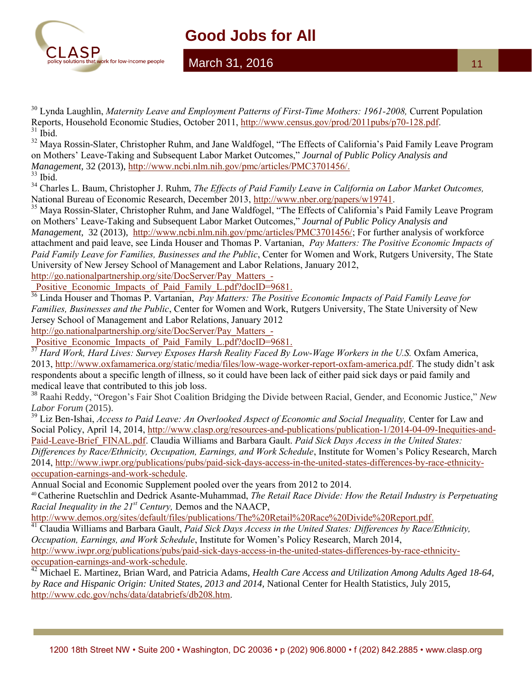

#### March 31, 2016

<sup>30</sup> Lynda Laughlin, *Maternity Leave and Employment Patterns of First-Time Mothers: 1961-2008, Current Population* Reports, Household Economic Studies, October 2011, [http://www.census.gov/prod/2011pubs/p70-128.pdf.](http://www.census.gov/prod/2011pubs/p70-128.pdf)  $31$  Ibid.

<sup>32</sup> Mava Rossin-Slater, Christopher Ruhm, and Jane Waldfogel, "The Effects of California's Paid Family Leave Program on Mothers' Leave-Taking and Subsequent Labor Market Outcomes," *Journal of Public Policy Analysis and Management,* 32 (2013), [http://www.ncbi.nlm.nih.gov/pmc/articles/PMC3701456/.](http://www.ncbi.nlm.nih.gov/pmc/articles/PMC3701456/)

 $33$  Ibid.

<sup>34</sup> Charles L. Baum, Christopher J. Ruhm, *The Effects of Paid Family Leave in California on Labor Market Outcomes,* National Bureau of Economic Research, December 2013, [http://www.nber.org/papers/w19741.](http://www.nber.org/papers/w19741)

<sup>35</sup> Maya Rossin-Slater, Christopher Ruhm, and Jane Waldfogel, "The Effects of California's Paid Family Leave Program on Mothers' Leave-Taking and Subsequent Labor Market Outcomes," *Journal of Public Policy Analysis and Management,* 32 (2013), [http://www.ncbi.nlm.nih.gov/pmc/articles/PMC3701456/;](http://www.ncbi.nlm.nih.gov/pmc/articles/PMC3701456/) For further analysis of workforce attachment and paid leave, see Linda Houser and Thomas P. Vartanian, *Pay Matters: The Positive Economic Impacts of Paid Family Leave for Families, Businesses and the Public*, Center for Women and Work, Rutgers University, The State University of New Jersey School of Management and Labor Relations, January 2012,

[http://go.nationalpartnership.org/site/DocServer/Pay\\_Matters\\_-](http://go.nationalpartnership.org/site/DocServer/Pay_Matters_-_Positive_Economic_Impacts_of_Paid_Family_L.pdf?docID=9681)

Positive Economic Impacts of Paid Family L.pdf?docID=9681.

<sup>16</sup> Linda Houser and Thomas P. Vartanian, *Pay Matters: The Positive Economic Impacts of Paid Family Leave for Families, Businesses and the Public*, Center for Women and Work, Rutgers University, The State University of New Jersey School of Management and Labor Relations, January 2012

[http://go.nationalpartnership.org/site/DocServer/Pay\\_Matters\\_-](http://go.nationalpartnership.org/site/DocServer/Pay_Matters_-_Positive_Economic_Impacts_of_Paid_Family_L.pdf?docID=9681)

Positive\_Economic\_Impacts\_of\_Paid\_Family\_L.pdf?docID=9681.

<sup>37</sup> Hard Work, Hard Lives: Survey Exposes Harsh Reality Faced By Low-Wage Workers in the U.S. Oxfam America, 2013, [http://www.oxfamamerica.org/static/media/files/low-wage-worker-report-oxfam-america.pdf.](http://www.oxfamamerica.org/static/media/files/low-wage-worker-report-oxfam-america.pdf) The study didn't ask respondents about a specific length of illness, so it could have been lack of either paid sick days or paid family and medical leave that contributed to this job loss.

<sup>38</sup> Raahi Reddy, "Oregon's Fair Shot Coalition Bridging the Divide between Racial, Gender, and Economic Justice," *New Labor Forum* (2015).

<sup>39</sup> Liz Ben-Ishai, *Access to Paid Leave: An Overlooked Aspect of Economic and Social Inequality, Center for Law and* Social Policy, April 14, 2014, [http://www.clasp.org/resources-and-publications/publication-1/2014-04-09-Inequities-and-](http://www.clasp.org/resources-and-publications/publication-1/2014-04-09-Inequities-and-Paid-Leave-Brief_FINAL.pdf)[Paid-Leave-Brief\\_FINAL.pdf.](http://www.clasp.org/resources-and-publications/publication-1/2014-04-09-Inequities-and-Paid-Leave-Brief_FINAL.pdf) Claudia Williams and Barbara Gault. *Paid Sick Days Access in the United States: Differences by Race/Ethnicity, Occupation, Earnings, and Work Schedule*, Institute for Women's Policy Research, March 2014, [http://www.iwpr.org/publications/pubs/paid-sick-days-access-in-the-united-states-differences-by-race-ethnicity-](http://www.iwpr.org/publications/pubs/paid-sick-days-access-in-the-united-states-differences-by-race-ethnicity-occupation-earnings-and-work-schedule)

[occupation-earnings-and-work-schedule.](http://www.iwpr.org/publications/pubs/paid-sick-days-access-in-the-united-states-differences-by-race-ethnicity-occupation-earnings-and-work-schedule)

Annual Social and Economic Supplement pooled over the years from 2012 to 2014.

<sup>40</sup>Catherine Ruetschlin and Dedrick Asante-Muhammad, *The Retail Race Divide: How the Retail Industry is Perpetuating Racial Inequality in the 21st Century,* Demos and the NAACP,

[http://www.demos.org/sites/default/files/publications/The%20Retail%20Race%20Divide%20Report.pdf.](http://www.demos.org/sites/default/files/publications/The%20Retail%20Race%20Divide%20Report.pdf)

<sup>41</sup> Claudia Williams and Barbara Gault, *Paid Sick Days Access in the United States: Differences by Race/Ethnicity, Occupation, Earnings, and Work Schedule*, Institute for Women's Policy Research, March 2014, [http://www.iwpr.org/publications/pubs/paid-sick-days-access-in-the-united-states-differences-by-race-ethnicity-](http://www.iwpr.org/publications/pubs/paid-sick-days-access-in-the-united-states-differences-by-race-ethnicity-occupation-earnings-and-work-schedule)

[occupation-earnings-and-work-schedule.](http://www.iwpr.org/publications/pubs/paid-sick-days-access-in-the-united-states-differences-by-race-ethnicity-occupation-earnings-and-work-schedule)

<sup>42</sup> Michael E. Martinez, Brian Ward, and Patricia Adams, *Health Care Access and Utilization Among Adults Aged 18-64*, *by Race and Hispanic Origin: United States, 2013 and 2014,* National Center for Health Statistics, July 2015, [http://www.cdc.gov/nchs/data/databriefs/db208.htm.](http://www.cdc.gov/nchs/data/databriefs/db208.htm)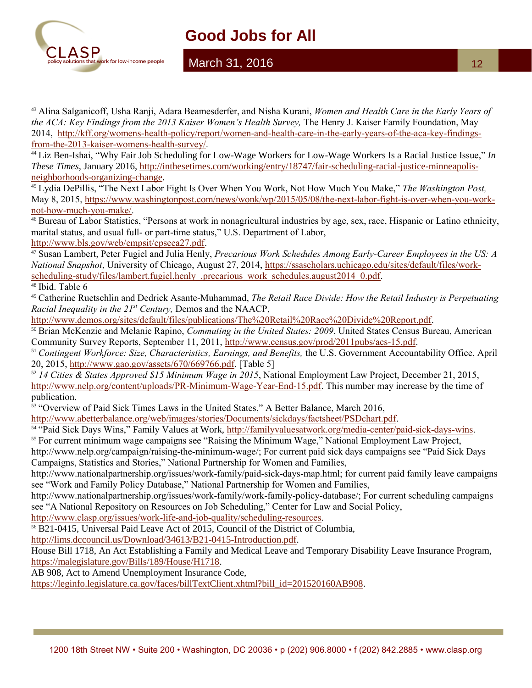

#### March 31, 2016

<sup>43</sup> Alina Salganicoff, Usha Ranji, Adara Beamesderfer, and Nisha Kurani, *Women and Health Care in the Early Years of the ACA: Key Findings from the 2013 Kaiser Women's Health Survey*, The Henry J. Kaiser Family Foundation, May 2014, [http://kff.org/womens-health-policy/report/women-and-health-care-in-the-early-years-of-the-aca-key-findings](http://kff.org/womens-health-policy/report/women-and-health-care-in-the-early-years-of-the-aca-key-findings-from-the-2013-kaiser-womens-health-survey/)[from-the-2013-kaiser-womens-health-survey/.](http://kff.org/womens-health-policy/report/women-and-health-care-in-the-early-years-of-the-aca-key-findings-from-the-2013-kaiser-womens-health-survey/)

<sup>44</sup> Liz Ben-Ishai, "Why Fair Job Scheduling for Low-Wage Workers for Low-Wage Workers Is a Racial Justice Issue," *In These Times,* January 2016[, http://inthesetimes.com/working/entry/18747/fair-scheduling-racial-justice-minneapolis](http://inthesetimes.com/working/entry/18747/fair-scheduling-racial-justice-minneapolis-neighborhoods-organizing-change)[neighborhoods-organizing-change.](http://inthesetimes.com/working/entry/18747/fair-scheduling-racial-justice-minneapolis-neighborhoods-organizing-change)

<sup>45</sup> Lydia DePillis, "The Next Labor Fight Is Over When You Work, Not How Much You Make," *The Washington Post,*  May 8, 2015, [https://www.washingtonpost.com/news/wonk/wp/2015/05/08/the-next-labor-fight-is-over-when-you-work](https://www.washingtonpost.com/news/wonk/wp/2015/05/08/the-next-labor-fight-is-over-when-you-work-not-how-much-you-make/)[not-how-much-you-make/.](https://www.washingtonpost.com/news/wonk/wp/2015/05/08/the-next-labor-fight-is-over-when-you-work-not-how-much-you-make/)

<sup>46</sup> Bureau of Labor Statistics, "Persons at work in nonagricultural industries by age, sex, race, Hispanic or Latino ethnicity, marital status, and usual full- or part-time status," U.S. Department of Labor, [http://www.bls.gov/web/empsit/cpseea27.pdf.](http://www.bls.gov/web/empsit/cpseea27.pdf)

<sup>47</sup> Susan Lambert, Peter Fugiel and Julia Henly, *Precarious Work Schedules Among Early-Career Employees in the US: A National Snapshot*, University of Chicago, August 27, 2014, [https://ssascholars.uchicago.edu/sites/default/files/work](https://ssascholars.uchicago.edu/sites/default/files/work-scheduling-study/files/lambert.fugiel.henly_.precarious_work_schedules.august2014_0.pdf)[scheduling-study/files/lambert.fugiel.henly\\_.precarious\\_work\\_schedules.august2014\\_0.pdf.](https://ssascholars.uchicago.edu/sites/default/files/work-scheduling-study/files/lambert.fugiel.henly_.precarious_work_schedules.august2014_0.pdf)

<sup>48</sup> Ibid. Table 6

<sup>49</sup> Catherine Ruetschlin and Dedrick Asante-Muhammad, *The Retail Race Divide: How the Retail Industry is Perpetuating Racial Inequality in the 21st Century,* Demos and the NAACP,

[http://www.demos.org/sites/default/files/publications/The%20Retail%20Race%20Divide%20Report.pdf.](http://www.demos.org/sites/default/files/publications/The%20Retail%20Race%20Divide%20Report.pdf)

<sup>50</sup> Brian McKenzie and Melanie Rapino, *Commuting in the United States: 2009*, United States Census Bureau, American Community Survey Reports, September 11, 2011[, http://www.census.gov/prod/2011pubs/acs-15.pdf.](http://www.census.gov/prod/2011pubs/acs-15.pdf)

<sup>51</sup> *Contingent Workforce: Size, Characteristics, Earnings, and Benefits,* the U.S. Government Accountability Office, April 20, 2015, [http://www.gao.gov/assets/670/669766.pdf.](http://www.gao.gov/assets/670/669766.pdf) [Table 5]

<sup>52</sup> *14 Cities & States Approved \$15 Minimum Wage in 2015*, National Employment Law Project, December 21, 2015, [http://www.nelp.org/content/uploads/PR-Minimum-Wage-Year-End-15.pdf.](http://www.nelp.org/content/uploads/PR-Minimum-Wage-Year-End-15.pdf) This number may increase by the time of publication.

<sup>53</sup> "Overview of Paid Sick Times Laws in the United States," A Better Balance, March 2016,

[http://www.abetterbalance.org/web/images/stories/Documents/sickdays/factsheet/PSDchart.pdf.](http://www.abetterbalance.org/web/images/stories/Documents/sickdays/factsheet/PSDchart.pdf)

54 "Paid Sick Days Wins," Family Values at Work, [http://familyvaluesatwork.org/media-center/paid-sick-days-wins.](http://familyvaluesatwork.org/media-center/paid-sick-days-wins) <sup>55</sup> For current minimum wage campaigns see "Raising the Minimum Wage," National Employment Law Project, http://www.nelp.org/campaign/raising-the-minimum-wage/; For current paid sick days campaigns see "Paid Sick Days Campaigns, Statistics and Stories," National Partnership for Women and Families,

http://www.nationalpartnership.org/issues/work-family/paid-sick-days-map.html; for current paid family leave campaigns see "Work and Family Policy Database," National Partnership for Women and Families,

http://www.nationalpartnership.org/issues/work-family/work-family-policy-database/; For current scheduling campaigns see "A National Repository on Resources on Job Scheduling," Center for Law and Social Policy,

[http://www.clasp.org/issues/work-life-and-job-quality/scheduling-resources.](http://www.clasp.org/issues/work-life-and-job-quality/scheduling-resources)

<sup>56</sup> B21-0415, Universal Paid Leave Act of 2015, Council of the District of Columbia,

[http://lims.dccouncil.us/Download/34613/B21-0415-Introduction.pdf.](http://lims.dccouncil.us/Download/34613/B21-0415-Introduction.pdf)

House Bill 1718, An Act Establishing a Family and Medical Leave and Temporary Disability Leave Insurance Program, [https://malegislature.gov/Bills/189/House/H1718.](https://malegislature.gov/Bills/189/House/H1718)

AB 908, Act to Amend Unemployment Insurance Code,

[https://leginfo.legislature.ca.gov/faces/billTextClient.xhtml?bill\\_id=201520160AB908.](https://leginfo.legislature.ca.gov/faces/billTextClient.xhtml?bill_id=201520160AB908)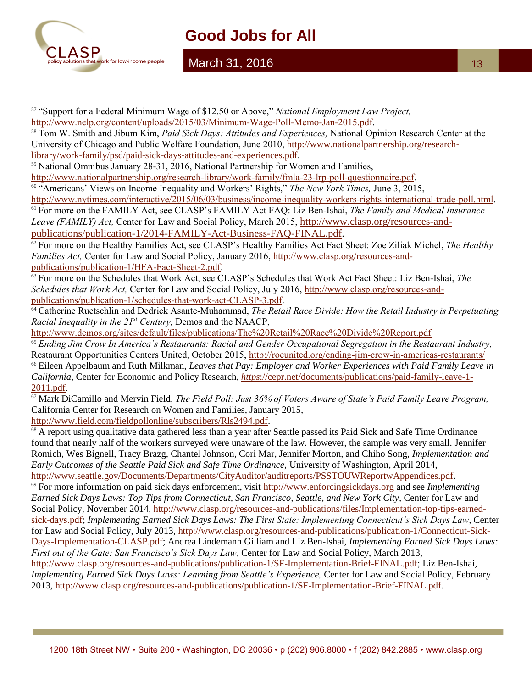

#### March 31, 2016

13

<sup>57</sup> "Support for a Federal Minimum Wage of \$12.50 or Above," *National Employment Law Project,* 

[http://www.nelp.org/content/uploads/2015/03/Minimum-Wage-Poll-Memo-Jan-2015.pdf.](http://www.nelp.org/content/uploads/2015/03/Minimum-Wage-Poll-Memo-Jan-2015.pdf)

<sup>58</sup> Tom W. Smith and Jibum Kim, *Paid Sick Days: Attitudes and Experiences,* National Opinion Research Center at the University of Chicago and Public Welfare Foundation, June 2010, [http://www.nationalpartnership.org/research](http://www.nationalpartnership.org/research-library/work-family/psd/paid-sick-days-attitudes-and-experiences.pdf)[library/work-family/psd/paid-sick-days-attitudes-and-experiences.pdf.](http://www.nationalpartnership.org/research-library/work-family/psd/paid-sick-days-attitudes-and-experiences.pdf)

<sup>59</sup> National Omnibus January 28-31, 2016, National Partnership for Women and Families,

[http://www.nationalpartnership.org/research-library/work-family/fmla-23-lrp-poll-questionnaire.pdf.](http://www.nationalpartnership.org/research-library/work-family/fmla-23-lrp-poll-questionnaire.pdf)

<sup>60</sup> "Americans' Views on Income Inequality and Workers' Rights," *The New York Times,* June 3, 2015,

[http://www.nytimes.com/interactive/2015/06/03/business/income-inequality-workers-rights-international-trade-poll.html.](http://www.nytimes.com/interactive/2015/06/03/business/income-inequality-workers-rights-international-trade-poll.html) <sup>61</sup> For more on the FAMILY Act, see CLASP's FAMILY Act FAQ: Liz Ben-Ishai, *The Family and Medical Insurance Leave (FAMILY) Act,* Center for Law and Social Policy, March 2015, [http://www.clasp.org/resources-and](http://www.clasp.org/resources-and-publications/publication-1/2014-FAMILY-Act-Business-FAQ-FINAL.pdf)[publications/publication-1/2014-FAMILY-Act-Business-FAQ-FINAL.pdf.](http://www.clasp.org/resources-and-publications/publication-1/2014-FAMILY-Act-Business-FAQ-FINAL.pdf)

<sup>62</sup> For more on the Healthy Families Act, see CLASP's Healthy Families Act Fact Sheet: Zoe Ziliak Michel, *The Healthy Families Act,* Center for Law and Social Policy, January 2016, [http://www.clasp.org/resources-and](http://www.clasp.org/resources-and-publications/publication-1/HFA-Fact-Sheet-2.pdf)[publications/publication-1/HFA-Fact-Sheet-2.pdf.](http://www.clasp.org/resources-and-publications/publication-1/HFA-Fact-Sheet-2.pdf)

<sup>63</sup> For more on the Schedules that Work Act, see CLASP's Schedules that Work Act Fact Sheet: Liz Ben-Ishai, *The Schedules that Work Act,* Center for Law and Social Policy, July 2016, [http://www.clasp.org/resources-and](http://www.clasp.org/resources-and-publications/publication-1/schedules-that-work-act-CLASP-3.pdf)[publications/publication-1/schedules-that-work-act-CLASP-3.pdf.](http://www.clasp.org/resources-and-publications/publication-1/schedules-that-work-act-CLASP-3.pdf)

<sup>64</sup> Catherine Ruetschlin and Dedrick Asante-Muhammad, *The Retail Race Divide: How the Retail Industry is Perpetuating Racial Inequality in the 21st Century,* Demos and the NAACP,

<http://www.demos.org/sites/default/files/publications/The%20Retail%20Race%20Divide%20Report.pdf>

<sup>65</sup> *Ending Jim Crow In America's Restaurants: Racial and Gender Occupational Segregation in the Restaurant Industry,*  Restaurant Opportunities Centers United, October 2015,<http://rocunited.org/ending-jim-crow-in-americas-restaurants/> <sup>66</sup> Eileen Appelbaum and Ruth Milkman, *Leaves that Pay: Employer and Worker Experiences with Paid Family Leave in California,* Center for Economic and Policy Research, *https*[://cepr.net/documents/publications/paid-family-leave-1-](https://cepr.net/documents/publications/paid-family-leave-1-2011.pdf) [2011.pdf](https://cepr.net/documents/publications/paid-family-leave-1-2011.pdf).

<sup>67</sup> Mark DiCamillo and Mervin Field, *The Field Poll: Just 36% of Voters Aware of State's Paid Family Leave Program,*  California Center for Research on Women and Families, January 2015,

[http://www.field.com/fieldpollonline/subscribers/Rls2494.pdf.](http://www.field.com/fieldpollonline/subscribers/Rls2494.pdf)

<sup>68</sup> A report using qualitative data gathered less than a year after Seattle passed its Paid Sick and Safe Time Ordinance found that nearly half of the workers surveyed were unaware of the law. However, the sample was very small. Jennifer Romich, Wes Bignell, Tracy Brazg, Chantel Johnson, Cori Mar, Jennifer Morton, and Chiho Song, *Implementation and Early Outcomes of the Seattle Paid Sick and Safe Time Ordinance,* University of Washington, April 2014, [http://www.seattle.gov/Documents/Departments/CityAuditor/auditreports/PSSTOUWReportwAppendices.pdf.](http://www.seattle.gov/Documents/Departments/CityAuditor/auditreports/PSSTOUWReportwAppendices.pdf)

<sup>69</sup> For more information on paid sick days enforcement, visit [http://www.enforcingsickdays.org](http://www.enforcingsickdays.org/) and see *Implementing Earned Sick Days Laws: Top Tips from Connecticut, San Francisco, Seattle, and New York City,* Center for Law and Social Policy, November 2014, [http://www.clasp.org/resources-and-publications/files/Implementation-top-tips-earned](http://www.clasp.org/resources-and-publications/files/Implementation-top-tips-earned-sick-days.pdf)[sick-days.pdf;](http://www.clasp.org/resources-and-publications/files/Implementation-top-tips-earned-sick-days.pdf) *Implementing Earned Sick Days Laws: The First State: Implementing Connecticut's Sick Days Law*, Center for Law and Social Policy, July 2013, [http://www.clasp.org/resources-and-publications/publication-1/Connecticut-Sick-](http://www.clasp.org/resources-and-publications/publication-1/Connecticut-Sick-Days-Implementation-CLASP.pdf)[Days-Implementation-CLASP.pdf;](http://www.clasp.org/resources-and-publications/publication-1/Connecticut-Sick-Days-Implementation-CLASP.pdf) Andrea Lindemann Gilliam and Liz Ben-Ishai, *Implementing Earned Sick Days Laws: First out of the Gate: San Francisco's Sick Days Law,* Center for Law and Social Policy, March 2013, [http://www.clasp.org/resources-and-publications/publication-1/SF-Implementation-Brief-FINAL.pdf;](http://www.clasp.org/resources-and-publications/publication-1/SF-Implementation-Brief-FINAL.pdf) Liz Ben-Ishai, *Implementing Earned Sick Days Laws: Learning from Seattle's Experience, Center for Law and Social Policy, February* 2013, [http://www.clasp.org/resources-and-publications/publication-1/SF-Implementation-Brief-FINAL.pdf.](http://www.clasp.org/resources-and-publications/publication-1/SF-Implementation-Brief-FINAL.pdf)